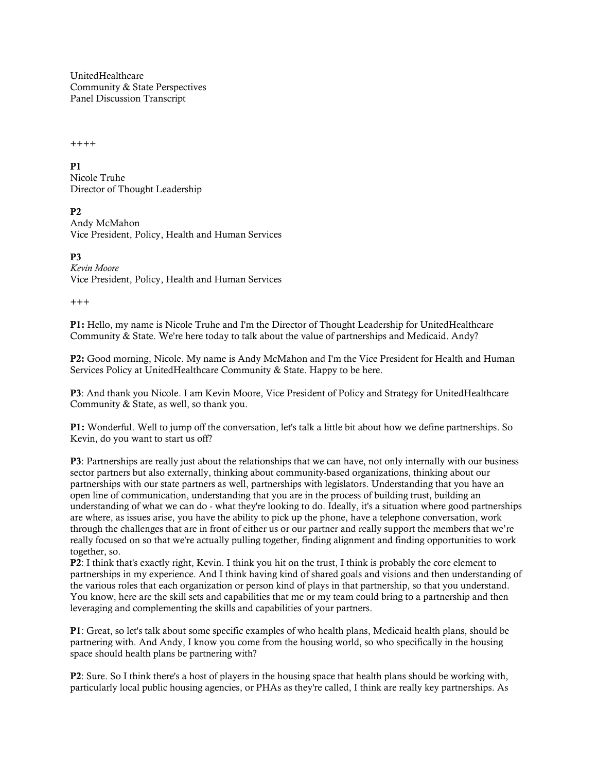UnitedHealthcare Community & State Perspectives Panel Discussion Transcript

++++

**P1** 

Nicole Truhe Director of Thought Leadership

P2

Andy McMahon Vice President, Policy, Health and Human Services

P3 *Kevin Moore* Vice President, Policy, Health and Human Services

 $^{+++}$ 

P1: Hello, my name is Nicole Truhe and I'm the Director of Thought Leadership for UnitedHealthcare Community & State. We're here today to talk about the value of partnerships and Medicaid. Andy?

P2: Good morning, Nicole. My name is Andy McMahon and I'm the Vice President for Health and Human Services Policy at UnitedHealthcare Community & State. Happy to be here.

P3: And thank you Nicole. I am Kevin Moore, Vice President of Policy and Strategy for UnitedHealthcare Community & State, as well, so thank you.

P1: Wonderful. Well to jump off the conversation, let's talk a little bit about how we define partnerships. So Kevin, do you want to start us off?

P3: Partnerships are really just about the relationships that we can have, not only internally with our business sector partners but also externally, thinking about community-based organizations, thinking about our partnerships with our state partners as well, partnerships with legislators. Understanding that you have an open line of communication, understanding that you are in the process of building trust, building an understanding of what we can do - what they're looking to do. Ideally, it's a situation where good partnerships are where, as issues arise, you have the ability to pick up the phone, have a telephone conversation, work through the challenges that are in front of either us or our partner and really support the members that we're really focused on so that we're actually pulling together, finding alignment and finding opportunities to work together, so.

P2: I think that's exactly right, Kevin. I think you hit on the trust, I think is probably the core element to partnerships in my experience. And I think having kind of shared goals and visions and then understanding of the various roles that each organization or person kind of plays in that partnership, so that you understand. You know, here are the skill sets and capabilities that me or my team could bring to a partnership and then leveraging and complementing the skills and capabilities of your partners.

P1: Great, so let's talk about some specific examples of who health plans, Medicaid health plans, should be partnering with. And Andy, I know you come from the housing world, so who specifically in the housing space should health plans be partnering with?

P2: Sure. So I think there's a host of players in the housing space that health plans should be working with, particularly local public housing agencies, or PHAs as they're called, I think are really key partnerships. As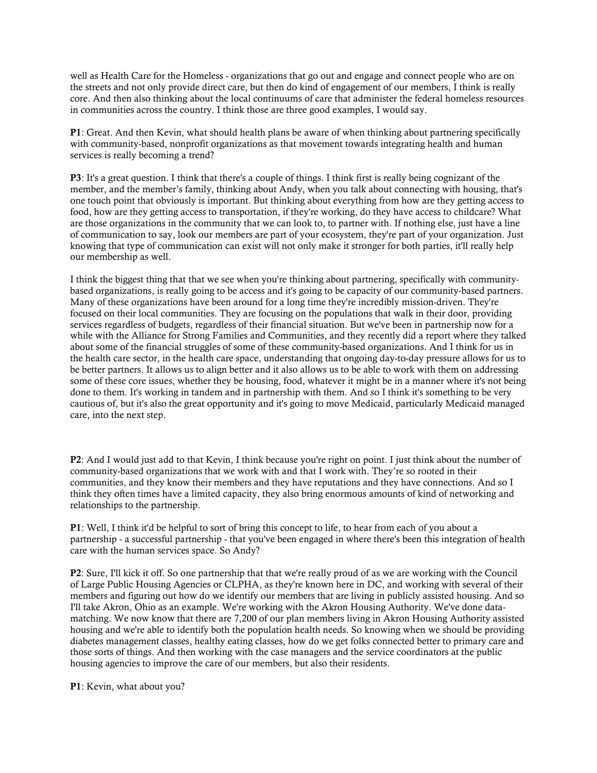well as Health Care for the Homeless - organizations that go out and engage and connect people who are on the streets and not only provide direct care, but then do kind of engagement of our members, I think is really core. And then also thinking about the local continuums of care that administer the federal homeless resources in communities across the country. I think those are three good examples, I would say.

P1: Great. And then Kevin, what should health plans be aware of when thinking about partnering specifically with community-based, nonprofit organizations as that movement towards integrating health and human services is really becoming a trend?

P3: It's a great question. I think that there's a couple of things. I think first is really being cognizant of the member, and the member's family, thinking about Andy, when you talk about connecting with housing, that's one touch point that obviously is important. But thinking about everything from how are they getting access to food, how are they getting access to transportation, if they're working, do they have access to childcare? What are those organizations in the community that we can look to, to partner with. If nothing else, just have a line of communication to say, look our members are part of your ecosystem, they're part of your organization. Just knowing that type of communication can exist will not only make it stronger for both parties, it'll really help our membership as well.

I think the biggest thing that that we see when you're thinking about partnering, specifically with communitybased organizations, is really going to be access and it's going to be capacity of our community-based partners. Many of these organizations have been around for a long time they're incredibly mission-driven. They're focused on their local communities. They are focusing on the populations that walk in their door, providing services regardless of budgets, regardless of their financial situation. But we've been in partnership now for a while with the Alliance for Strong Families and Communities, and they recently did a report where they talked about some of the financial struggles of some of these community-based organizations. And I think for us in the health care sector, in the health care space, understanding that ongoing day-to-day pressure allows for us to be better partners. It allows us to align better and it also allows us to be able to work with them on addressing some of these core issues, whether they be housing, food, whatever it might be in a manner where it's not being done to them. It's working in tandem and in partnership with them. And so I think it's something to be very cautious of, but it's also the great opportunity and it's going to move Medicaid, particularly Medicaid managed care, into the next step.

P2: And I would just add to that Kevin, I think because you're right on point. I just think about the number of community-based organizations that we work with and that I work with. They're so rooted in their communities, and they know their members and they have reputations and they have connections. And so I think they often times have a limited capacity, they also bring enormous amounts of kind of networking and relationships to the partnership.

P1: Well, I think it'd be helpful to sort of bring this concept to life, to hear from each of you about a partnership - a successful partnership - that you've been engaged in where there's been this integration of health care with the human services space. So Andy?

P2: Sure, I'll kick it off. So one partnership that that we're really proud of as we are working with the Council of Large Public Housing Agencies or CLPHA, as they're known here in DC, and working with several of their members and figuring out how do we identify our members that are living in publicly assisted housing. And so I'll take Akron, Ohio as an example. We're working with the Akron Housing Authority. We've done datamatching. We now know that there are 7,200 of our plan members living in Akron Housing Authority assisted housing and we're able to identify both the population health needs. So knowing when we should be providing diabetes management classes, healthy eating classes, how do we get folks connected better to primary care and those sorts of things. And then working with the case managers and the service coordinators at the public housing agencies to improve the care of our members, but also their residents.

P1: Kevin, what about you?